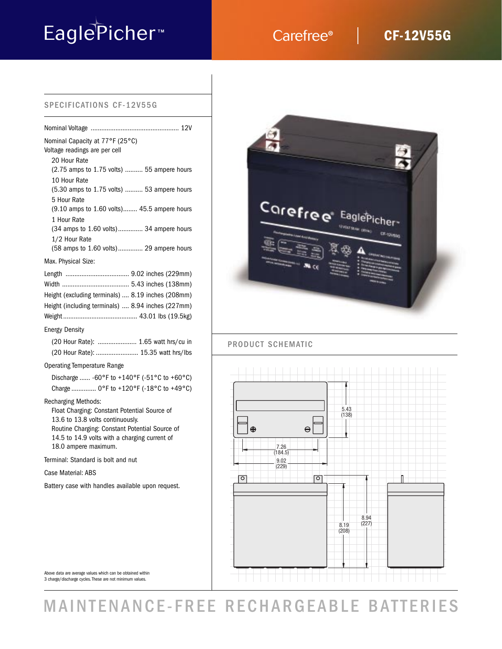# EaglePicher<sup>™</sup> Carefree®

## **CF-12V55G**

### SPECIFICATIONS CF-12V55G

| Nominal Capacity at 77°F (25°C)<br>Voltage readings are per cell                                               |  |
|----------------------------------------------------------------------------------------------------------------|--|
| 20 Hour Rate<br>(2.75 amps to 1.75 volts)  55 ampere hours                                                     |  |
| 10 Hour Rate<br>(5.30 amps to 1.75 volts)  53 ampere hours                                                     |  |
| 5 Hour Rate<br>(9.10 amps to 1.60 volts) 45.5 ampere hours                                                     |  |
| 1 Hour Rate<br>(34 amps to 1.60 volts) 34 ampere hours                                                         |  |
| 1/2 Hour Rate<br>(58 amps to 1.60 volts) 29 ampere hours                                                       |  |
| Max. Physical Size:                                                                                            |  |
| Height (excluding terminals)  8.19 inches (208mm)<br>Height (including terminals)  8.94 inches (227mm)         |  |
| <b>Energy Density</b>                                                                                          |  |
| (20 Hour Rate):  1.65 watt hrs/cu in<br>(20 Hour Rate):  15.35 watt hrs/lbs                                    |  |
| <b>Operating Temperature Range</b>                                                                             |  |
| Discharge  -60°F to +140°F (-51°C to +60°C)<br>Charge  0°F to +120°F (-18°C to +49°C)                          |  |
| <b>Recharging Methods:</b><br>Float Charging: Constant Potential Source of<br>13.6 to 13.8 volts continuously. |  |

Routine Charging: Constant Potential Source of 14.5 to 14.9 volts with a charging current of 18.0 ampere maximum.

Terminal: Standard is bolt and nut

Case Material: ABS

Battery case with handles available upon request.



Above data are average values which can be obtained within 3 charge/discharge cycles. These are not minimum values.

## MAINTENANCE-FREE RECHARGEABLE BATTERIES